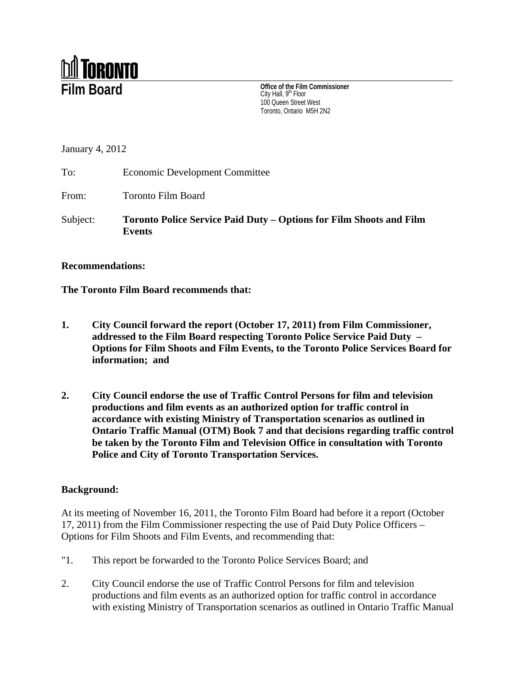

**Film Board City Hall**,  $\mathbf{S}^{\text{tr}}$  Floor Commissioner City Hall, 9th Floor 100 Queen Street West Toronto, Ontario M5H 2N2

January 4, 2012

To: Economic Development Committee

From: Toronto Film Board

Subject: **Toronto Police Service Paid Duty – Options for Film Shoots and Film Events**

## **Recommendations:**

**The Toronto Film Board recommends that:**

- **1. City Council forward the report (October 17, 2011) from Film Commissioner, addressed to the Film Board respecting Toronto Police Service Paid Duty – Options for Film Shoots and Film Events, to the Toronto Police Services Board for information; and**
- **2. City Council endorse the use of Traffic Control Persons for film and television productions and film events as an authorized option for traffic control in accordance with existing Ministry of Transportation scenarios as outlined in Ontario Traffic Manual (OTM) Book 7 and that decisions regarding traffic control be taken by the Toronto Film and Television Office in consultation with Toronto Police and City of Toronto Transportation Services.**

## **Background:**

At its meeting of November 16, 2011, the Toronto Film Board had before it a report (October 17, 2011) from the Film Commissioner respecting the use of Paid Duty Police Officers – Options for Film Shoots and Film Events, and recommending that:

- "1. This report be forwarded to the Toronto Police Services Board; and
- 2. City Council endorse the use of Traffic Control Persons for film and television productions and film events as an authorized option for traffic control in accordance with existing Ministry of Transportation scenarios as outlined in Ontario Traffic Manual